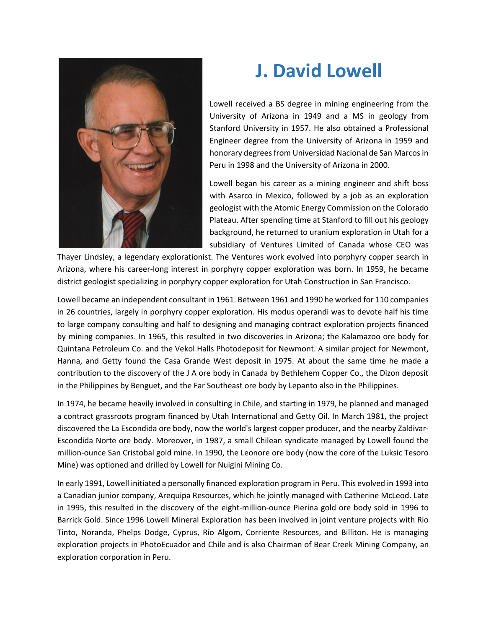

## **J. David Lowell**

Lowell received a BS degree in mining engineering from the University of Arizona in 1949 and a MS in geology from Stanford University in 1957. He also obtained a Professional Engineer degree from the University of Arizona in 1959 and honorary degrees from Universidad Nacional de San Marcos in Peru in 1998 and the University of Arizona in 2000.

Lowell began his career as a mining engineer and shift boss with Asarco in Mexico, followed by a job as an exploration geologist with the Atomic Energy Commission on the Colorado Plateau. After spending time at Stanford to fill out his geology background, he returned to uranium exploration in Utah for a subsidiary of Ventures Limited of Canada whose CEO was

Thayer Lindsley, a legendary explorationist. The Ventures work evolved into porphyry copper search in Arizona, where his career-long interest in porphyry copper exploration was born. In 1959, he became district geologist specializing in porphyry copper exploration for Utah Construction in San Francisco.

Lowell became an independent consultant in 1961. Between 1961 and 1990 he worked for 110 companies in 26 countries, largely in porphyry copper exploration. His modus operandi was to devote half his time to large company consulting and half to designing and managing contract exploration projects financed by mining companies. In 1965, this resulted in two discoveries in Arizona; the Kalamazoo ore body for Quintana Petroleum Co. and the Vekol Halls Photodeposit for Newmont. A similar project for Newmont, Hanna, and Getty found the Casa Grande West deposit in 1975. At about the same time he made a contribution to the discovery of the J A ore body in Canada by Bethlehem Copper Co., the Dizon deposit in the Philippines by Benguet, and the Far Southeast ore body by Lepanto also in the Philippines.

In 1974, he became heavily involved in consulting in Chile, and starting in 1979, he planned and managed a contract grassroots program financed by Utah International and Getty Oil. In March 1981, the project discovered the La Escondida ore body, now the world's largest copper producer, and the nearby Zaldivar-Escondida Norte ore body. Moreover, in 1987, a small Chilean syndicate managed by Lowell found the million-ounce San Cristobal gold mine. In 1990, the Leonore ore body (now the core of the Luksic Tesoro Mine) was optioned and drilled by Lowell for Nuigini Mining Co.

In early 1991, Lowell initiated a personally financed exploration program in Peru. This evolved in 1993 into a Canadian junior company, Arequipa Resources, which he jointly managed with Catherine McLeod. Late in 1995, this resulted in the discovery of the eight-million-ounce Pierina gold ore body sold in 1996 to Barrick Gold. Since 1996 Lowell Mineral Exploration has been involved in joint venture projects with Rio Tinto, Noranda, Phelps Dodge, Cyprus, Rio Algom, Corriente Resources, and Billiton. He is managing exploration projects in PhotoEcuador and Chile and is also Chairman of Bear Creek Mining Company, an exploration corporation in Peru.